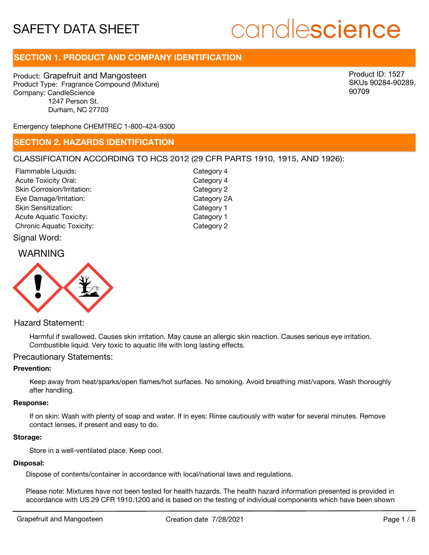# candlescience

# **SECTION 1. PRODUCT AND COMPANY IDENTIFICATION**

Product: Grapefruit and Mangosteen Product Type: Fragrance Compound (Mixture) Company: CandleScience 1247 Person St. Durham, NC 27703

Product ID: 1527 SKUs 90284-90289, 90709

Emergency telephone CHEMTREC 1-800-424-9300

# **SECTION 2. HAZARDS IDENTIFICATION**

## CLASSIFICATION ACCORDING TO HCS 2012 (29 CFR PARTS 1910, 1915, AND 1926):

Signal Word: Acute Toxicity Oral: Skin Corrosion/Irritation: Eye Damage/Irritation: Skin Sensitization: Acute Aquatic Toxicity: Category 1 Chronic Aquatic Toxicity: Chronic Aquatic Toxicity: Flammable Liquids:

Category 4 Category 2 Category 2A Category 1 Category 4

# WARNING



Hazard Statement:

Harmful if swallowed. Causes skin irritation. May cause an allergic skin reaction. Causes serious eye irritation. Combustible liquid. Very toxic to aquatic life with long lasting effects.

### Precautionary Statements:

#### **Prevention:**

Keep away from heat/sparks/open flames/hot surfaces. No smoking. Avoid breathing mist/vapors. Wash thoroughly after handling.

#### **Response:**

If on skin: Wash with plenty of soap and water. If in eyes: Rinse cautiously with water for several minutes. Remove contact lenses, if present and easy to do.

#### **Storage:**

Store in a well-ventilated place. Keep cool.

#### **Disposal:**

Dispose of contents/container in accordance with local/national laws and regulations.

Please note: Mixtures have not been tested for health hazards. The health hazard information presented is provided in accordance with US 29 CFR 1910.1200 and is based on the testing of individual components which have been shown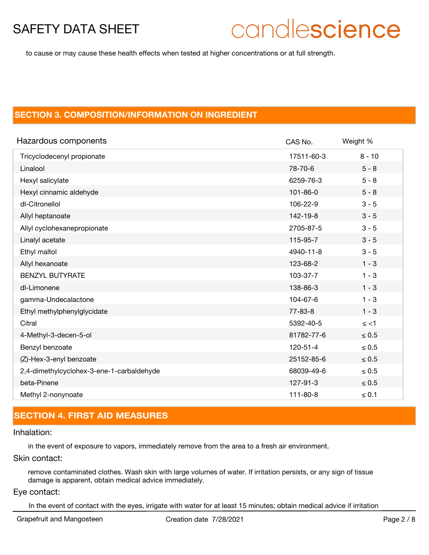# candlescience

to cause or may cause these health effects when tested at higher concentrations or at full strength.

# **SECTION 3. COMPOSITION/INFORMATION ON INGREDIENT**

| Hazardous components                      | CAS No.        | Weight %   |
|-------------------------------------------|----------------|------------|
| Tricyclodecenyl propionate                | 17511-60-3     | $8 - 10$   |
| Linalool                                  | 78-70-6        | $5 - 8$    |
| Hexyl salicylate                          | 6259-76-3      | $5 - 8$    |
| Hexyl cinnamic aldehyde                   | $101 - 86 - 0$ | $5 - 8$    |
| dl-Citronellol                            | 106-22-9       | $3 - 5$    |
| Allyl heptanoate                          | 142-19-8       | $3 - 5$    |
| Allyl cyclohexanepropionate               | 2705-87-5      | $3 - 5$    |
| Linalyl acetate                           | 115-95-7       | $3 - 5$    |
| Ethyl maltol                              | 4940-11-8      | $3 - 5$    |
| Allyl hexanoate                           | 123-68-2       | $1 - 3$    |
| <b>BENZYL BUTYRATE</b>                    | 103-37-7       | $1 - 3$    |
| dl-Limonene                               | 138-86-3       | $1 - 3$    |
| gamma-Undecalactone                       | 104-67-6       | $1 - 3$    |
| Ethyl methylphenylglycidate               | $77 - 83 - 8$  | $1 - 3$    |
| Citral                                    | 5392-40-5      | $\le$ <1   |
| 4-Methyl-3-decen-5-ol                     | 81782-77-6     | $\leq 0.5$ |
| Benzyl benzoate                           | $120 - 51 - 4$ | $\leq 0.5$ |
| (Z)-Hex-3-enyl benzoate                   | 25152-85-6     | $\leq 0.5$ |
| 2,4-dimethylcyclohex-3-ene-1-carbaldehyde | 68039-49-6     | $\leq 0.5$ |
| beta-Pinene                               | 127-91-3       | $\leq 0.5$ |
| Methyl 2-nonynoate                        | $111 - 80 - 8$ | $\leq 0.1$ |

# **SECTION 4. FIRST AID MEASURES**

## Inhalation:

in the event of exposure to vapors, immediately remove from the area to a fresh air environment.

# Skin contact:

remove contaminated clothes. Wash skin with large volumes of water. If irritation persists, or any sign of tissue damage is apparent, obtain medical advice immediately.

#### Eye contact:

In the event of contact with the eyes, irrigate with water for at least 15 minutes; obtain medical advice if irritation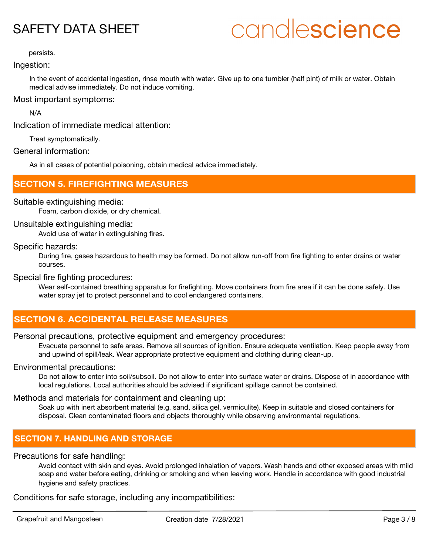# candlescience

persists.

## Ingestion:

In the event of accidental ingestion, rinse mouth with water. Give up to one tumbler (half pint) of milk or water. Obtain medical advise immediately. Do not induce vomiting.

# Most important symptoms:

N/A

Indication of immediate medical attention:

Treat symptomatically.

## General information:

As in all cases of potential poisoning, obtain medical advice immediately.

# **SECTION 5. FIREFIGHTING MEASURES**

# Suitable extinguishing media:

Foam, carbon dioxide, or dry chemical.

## Unsuitable extinguishing media:

Avoid use of water in extinguishing fires.

## Specific hazards:

During fire, gases hazardous to health may be formed. Do not allow run-off from fire fighting to enter drains or water courses.

## Special fire fighting procedures:

Wear self-contained breathing apparatus for firefighting. Move containers from fire area if it can be done safely. Use water spray jet to protect personnel and to cool endangered containers.

# **SECTION 6. ACCIDENTAL RELEASE MEASURES**

# Personal precautions, protective equipment and emergency procedures:

Evacuate personnel to safe areas. Remove all sources of ignition. Ensure adequate ventilation. Keep people away from and upwind of spill/leak. Wear appropriate protective equipment and clothing during clean-up.

# Environmental precautions:

Do not allow to enter into soil/subsoil. Do not allow to enter into surface water or drains. Dispose of in accordance with local regulations. Local authorities should be advised if significant spillage cannot be contained.

# Methods and materials for containment and cleaning up:

Soak up with inert absorbent material (e.g. sand, silica gel, vermiculite). Keep in suitable and closed containers for disposal. Clean contaminated floors and objects thoroughly while observing environmental regulations.

# **SECTION 7. HANDLING AND STORAGE**

# Precautions for safe handling:

Avoid contact with skin and eyes. Avoid prolonged inhalation of vapors. Wash hands and other exposed areas with mild soap and water before eating, drinking or smoking and when leaving work. Handle in accordance with good industrial hygiene and safety practices.

Conditions for safe storage, including any incompatibilities: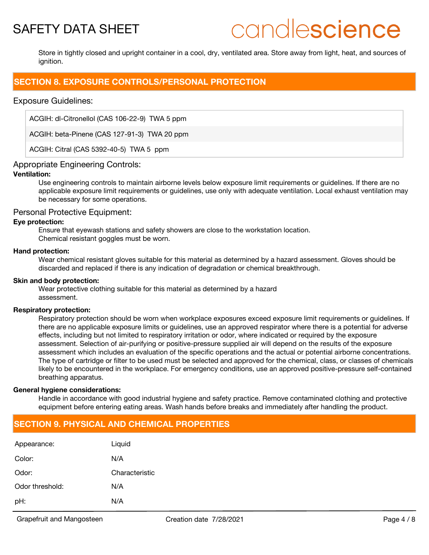# candlescience

Store in tightly closed and upright container in a cool, dry, ventilated area. Store away from light, heat, and sources of ignition.

# **SECTION 8. EXPOSURE CONTROLS/PERSONAL PROTECTION**

## Exposure Guidelines:

ACGIH: dl-Citronellol (CAS 106-22-9) TWA 5 ppm

ACGIH: beta-Pinene (CAS 127-91-3) TWA 20 ppm

ACGIH: Citral (CAS 5392-40-5) TWA 5 ppm

#### Appropriate Engineering Controls:

#### **Ventilation:**

Use engineering controls to maintain airborne levels below exposure limit requirements or guidelines. If there are no applicable exposure limit requirements or guidelines, use only with adequate ventilation. Local exhaust ventilation may be necessary for some operations.

#### Personal Protective Equipment:

#### **Eye protection:**

Ensure that eyewash stations and safety showers are close to the workstation location. Chemical resistant goggles must be worn.

#### **Hand protection:**

Wear chemical resistant gloves suitable for this material as determined by a hazard assessment. Gloves should be discarded and replaced if there is any indication of degradation or chemical breakthrough.

#### **Skin and body protection:**

Wear protective clothing suitable for this material as determined by a hazard assessment.

#### **Respiratory protection:**

Respiratory protection should be worn when workplace exposures exceed exposure limit requirements or guidelines. If there are no applicable exposure limits or guidelines, use an approved respirator where there is a potential for adverse effects, including but not limited to respiratory irritation or odor, where indicated or required by the exposure assessment. Selection of air-purifying or positive-pressure supplied air will depend on the results of the exposure assessment which includes an evaluation of the specific operations and the actual or potential airborne concentrations. The type of cartridge or filter to be used must be selected and approved for the chemical, class, or classes of chemicals likely to be encountered in the workplace. For emergency conditions, use an approved positive-pressure self-contained breathing apparatus.

#### **General hygiene considerations:**

Handle in accordance with good industrial hygiene and safety practice. Remove contaminated clothing and protective equipment before entering eating areas. Wash hands before breaks and immediately after handling the product.

# **SECTION 9. PHYSICAL AND CHEMICAL PROPERTIES**

| Appearance:     | Liquid         |
|-----------------|----------------|
| Color:          | N/A            |
| Odor:           | Characteristic |
| Odor threshold: | N/A            |
| pH:             | N/A            |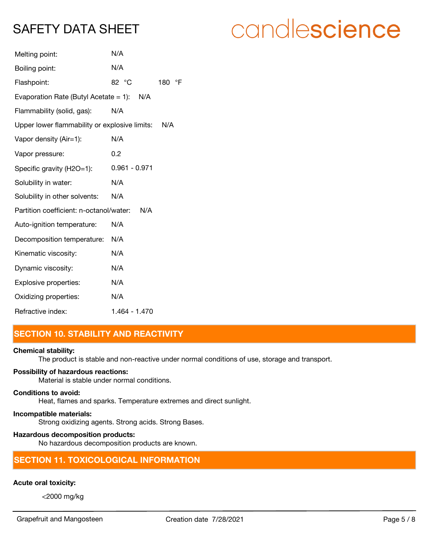| N/A                                            |           |
|------------------------------------------------|-----------|
| 82 °C                                          | °F<br>180 |
| Evaporation Rate (Butyl Acetate = 1): $N/A$    |           |
| N/A                                            |           |
| Upper lower flammability or explosive limits:  | N/A       |
| N/A                                            |           |
| 0.2                                            |           |
| $0.961 - 0.971$                                |           |
| N/A                                            |           |
| N/A                                            |           |
| Partition coefficient: n-octanol/water:<br>N/A |           |
| N/A                                            |           |
| N/A                                            |           |
| N/A                                            |           |
| N/A                                            |           |
| N/A                                            |           |
| N/A                                            |           |
| 1.464 - 1.470                                  |           |
|                                                |           |

# **SECTION 10. STABILITY AND REACTIVITY**

#### **Chemical stability:**

The product is stable and non-reactive under normal conditions of use, storage and transport.

## **Possibility of hazardous reactions:**

Material is stable under normal conditions.

# **Conditions to avoid:**

Heat, flames and sparks. Temperature extremes and direct sunlight.

# **Incompatible materials:**

Strong oxidizing agents. Strong acids. Strong Bases.

## **Hazardous decomposition products:**

No hazardous decomposition products are known.

# **SECTION 11. TOXICOLOGICAL INFORMATION**

# **Acute oral toxicity:**

<2000 mg/kg

Grapefruit and Mangosteen **Creation date 7/28/2021** Creation date 7/8

# candlescience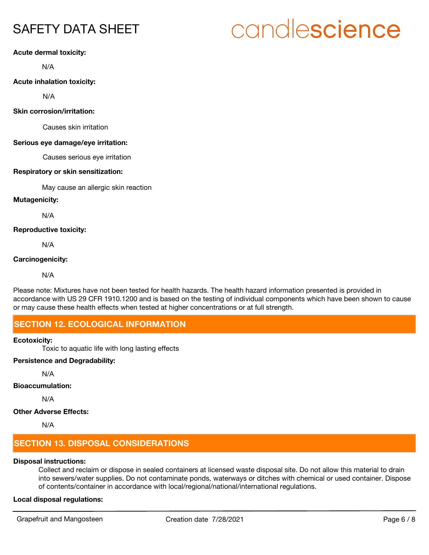# candlescience

### **Acute dermal toxicity:**

N/A

### **Acute inhalation toxicity:**

N/A

#### **Skin corrosion/irritation:**

Causes skin irritation

#### **Serious eye damage/eye irritation:**

Causes serious eye irritation

#### **Respiratory or skin sensitization:**

May cause an allergic skin reaction

#### **Mutagenicity:**

N/A

#### **Reproductive toxicity:**

N/A

#### **Carcinogenicity:**

N/A

Please note: Mixtures have not been tested for health hazards. The health hazard information presented is provided in accordance with US 29 CFR 1910.1200 and is based on the testing of individual components which have been shown to cause or may cause these health effects when tested at higher concentrations or at full strength.

# **SECTION 12. ECOLOGICAL INFORMATION**

#### **Ecotoxicity:**

Toxic to aquatic life with long lasting effects

# **Persistence and Degradability:**

N/A

## **Bioaccumulation:**

N/A

# **Other Adverse Effects:**

N/A

# **SECTION 13. DISPOSAL CONSIDERATIONS**

# **Disposal instructions:**

Collect and reclaim or dispose in sealed containers at licensed waste disposal site. Do not allow this material to drain into sewers/water supplies. Do not contaminate ponds, waterways or ditches with chemical or used container. Dispose of contents/container in accordance with local/regional/national/international regulations.

# **Local disposal regulations:**

Grapefruit and Mangosteen Creation date 7/28/2021 Creation date 7/28/2021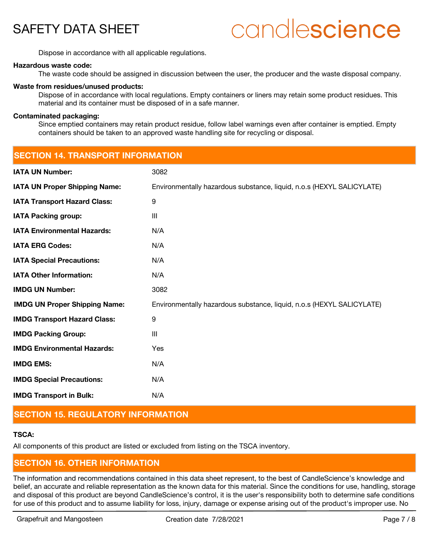# candlescience

Dispose in accordance with all applicable regulations.

**SECTION 14. TRANSPORT INFORMATION**

#### **Hazardous waste code:**

The waste code should be assigned in discussion between the user, the producer and the waste disposal company.

#### **Waste from residues/unused products:**

Dispose of in accordance with local regulations. Empty containers or liners may retain some product residues. This material and its container must be disposed of in a safe manner.

#### **Contaminated packaging:**

Since emptied containers may retain product residue, follow label warnings even after container is emptied. Empty containers should be taken to an approved waste handling site for recycling or disposal.

| SECTION 14. TRANSPORT INFORMATION    |                                                                       |  |
|--------------------------------------|-----------------------------------------------------------------------|--|
| <b>IATA UN Number:</b>               | 3082                                                                  |  |
| <b>IATA UN Proper Shipping Name:</b> | Environmentally hazardous substance, liquid, n.o.s (HEXYL SALICYLATE) |  |
| <b>IATA Transport Hazard Class:</b>  | $\boldsymbol{9}$                                                      |  |
| <b>IATA Packing group:</b>           | III                                                                   |  |
| <b>IATA Environmental Hazards:</b>   | N/A                                                                   |  |
| <b>IATA ERG Codes:</b>               | N/A                                                                   |  |
| <b>IATA Special Precautions:</b>     | N/A                                                                   |  |
| <b>IATA Other Information:</b>       | N/A                                                                   |  |
| <b>IMDG UN Number:</b>               | 3082                                                                  |  |
| <b>IMDG UN Proper Shipping Name:</b> | Environmentally hazardous substance, liquid, n.o.s (HEXYL SALICYLATE) |  |
| <b>IMDG Transport Hazard Class:</b>  | 9                                                                     |  |
| <b>IMDG Packing Group:</b>           | III                                                                   |  |
| <b>IMDG Environmental Hazards:</b>   | Yes                                                                   |  |
| <b>IMDG EMS:</b>                     | N/A                                                                   |  |
| <b>IMDG Special Precautions:</b>     | N/A                                                                   |  |
| <b>IMDG Transport in Bulk:</b>       | N/A                                                                   |  |
|                                      |                                                                       |  |

# **SECTION 15. REGULATORY INFORMATION**

#### **TSCA:**

All components of this product are listed or excluded from listing on the TSCA inventory.

# **SECTION 16. OTHER INFORMATION**

The information and recommendations contained in this data sheet represent, to the best of CandleScience's knowledge and belief, an accurate and reliable representation as the known data for this material. Since the conditions for use, handling, storage and disposal of this product are beyond CandleScience's control, it is the user's responsibility both to determine safe conditions for use of this product and to assume liability for loss, injury, damage or expense arising out of the product's improper use. No